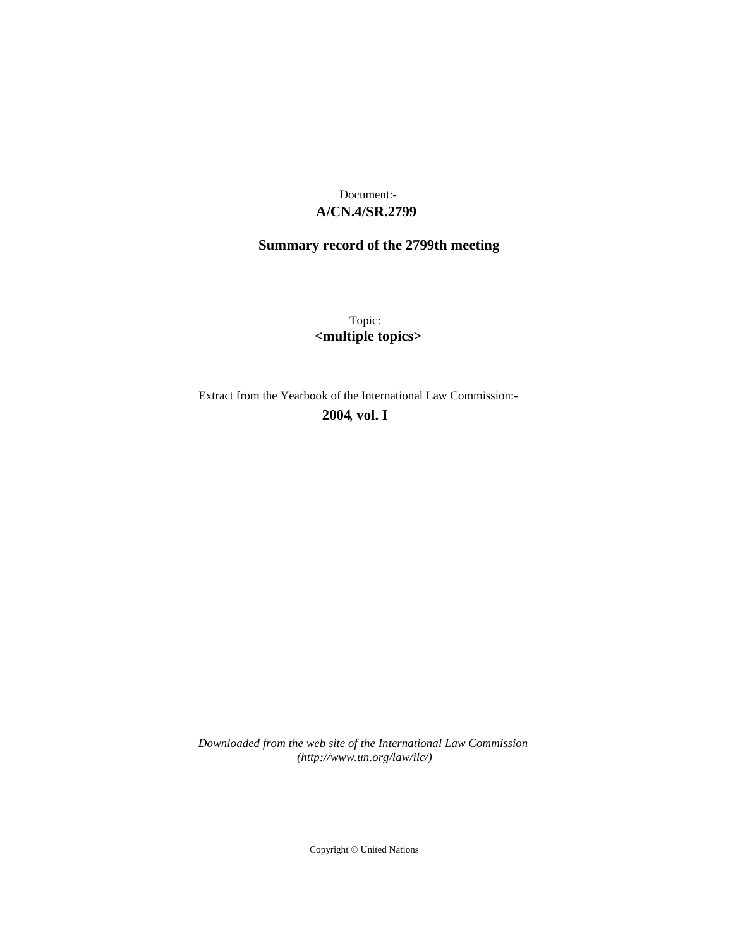## **A/CN.4/SR.2799** Document:-

# **Summary record of the 2799th meeting**

Topic: **<multiple topics>**

Extract from the Yearbook of the International Law Commission:-

**2004** , **vol. I**

*Downloaded from the web site of the International Law Commission (http://www.un.org/law/ilc/)*

Copyright © United Nations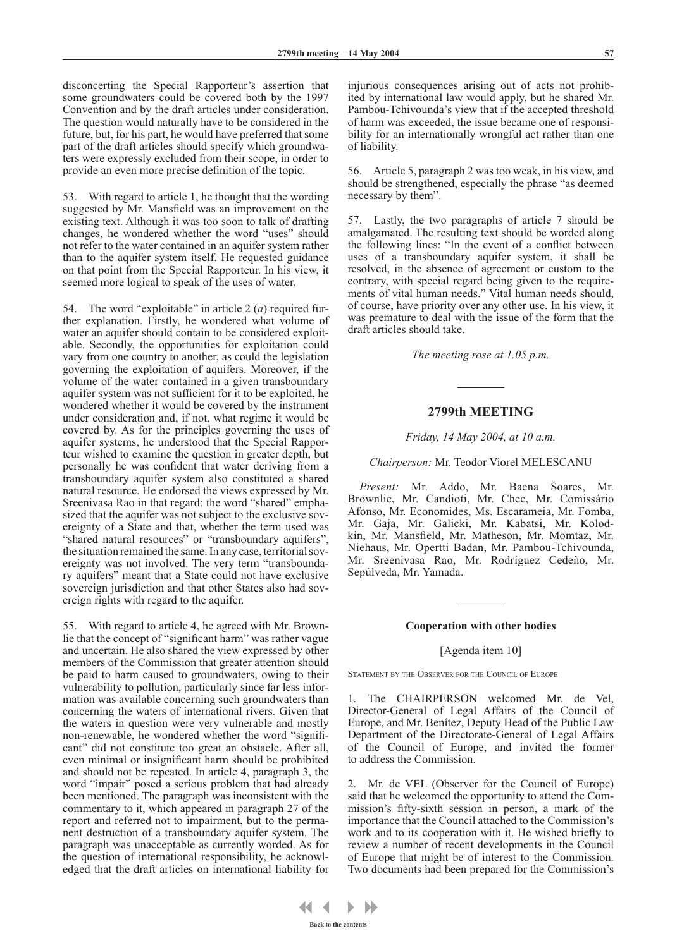disconcerting the Special Rapporteur's assertion that some groundwaters could be covered both by the 1997 Convention and by the draft articles under consideration. The question would naturally have to be considered in the future, but, for his part, he would have preferred that some part of the draft articles should specify which groundwaters were expressly excluded from their scope, in order to provide an even more precise definition of the topic.

53. With regard to article 1, he thought that the wording suggested by Mr. Mansfield was an improvement on the existing text. Although it was too soon to talk of drafting changes, he wondered whether the word "uses" should not refer to the water contained in an aquifer system rather than to the aquifer system itself. He requested guidance on that point from the Special Rapporteur. In his view, it seemed more logical to speak of the uses of water.

54. The word "exploitable" in article 2 (*a*) required further explanation. Firstly, he wondered what volume of water an aquifer should contain to be considered exploitable. Secondly, the opportunities for exploitation could vary from one country to another, as could the legislation governing the exploitation of aquifers. Moreover, if the volume of the water contained in a given transboundary aquifer system was not sufficient for it to be exploited, he wondered whether it would be covered by the instrument under consideration and, if not, what regime it would be covered by. As for the principles governing the uses of aquifer systems, he understood that the Special Rapporteur wished to examine the question in greater depth, but personally he was confident that water deriving from a transboundary aquifer system also constituted a shared natural resource. He endorsed the views expressed by Mr. Sreenivasa Rao in that regard: the word "shared" emphasized that the aquifer was not subject to the exclusive sovereignty of a State and that, whether the term used was "shared natural resources" or "transboundary aquifers", the situation remained the same. In any case, territorial sovereignty was not involved. The very term "transboundary aquifers" meant that a State could not have exclusive sovereign jurisdiction and that other States also had sovereign rights with regard to the aquifer.

55. With regard to article 4, he agreed with Mr. Brownlie that the concept of "significant harm" was rather vague and uncertain. He also shared the view expressed by other members of the Commission that greater attention should be paid to harm caused to groundwaters, owing to their vulnerability to pollution, particularly since far less information was available concerning such groundwaters than concerning the waters of international rivers. Given that the waters in question were very vulnerable and mostly non-renewable, he wondered whether the word "significant" did not constitute too great an obstacle. After all, even minimal or insignificant harm should be prohibited and should not be repeated. In article 4, paragraph 3, the word "impair" posed a serious problem that had already been mentioned. The paragraph was inconsistent with the commentary to it, which appeared in paragraph 27 of the report and referred not to impairment, but to the permanent destruction of a transboundary aquifer system. The paragraph was unacceptable as currently worded. As for the question of international responsibility, he acknowledged that the draft articles on international liability for

injurious consequences arising out of acts not prohibited by international law would apply, but he shared Mr. Pambou-Tchivounda's view that if the accepted threshold of harm was exceeded, the issue became one of responsibility for an internationally wrongful act rather than one of liability.

56. Article 5, paragraph 2 was too weak, in his view, and should be strengthened, especially the phrase "as deemed necessary by them".

57. Lastly, the two paragraphs of article 7 should be amalgamated. The resulting text should be worded along the following lines: "In the event of a conflict between uses of a transboundary aquifer system, it shall be resolved, in the absence of agreement or custom to the contrary, with special regard being given to the requirements of vital human needs." Vital human needs should, of course, have priority over any other use. In his view, it was premature to deal with the issue of the form that the draft articles should take.

*The meeting rose at 1.05 p.m.*

## **2799th MEETING**

#### *Friday, 14 May 2004, at 10 a.m.*

## *Chairperson:* Mr. Teodor Viorel MELESCANU

*Present:* Mr. Addo, Mr. Baena Soares, Mr. Brownlie, Mr. Candioti, Mr. Chee, Mr. Comissário Afonso, Mr. Economides, Ms. Escarameia, Mr. Fomba, Mr. Gaja, Mr. Galicki, Mr. Kabatsi, Mr. Kolodkin, Mr. Mansfield, Mr. Matheson, Mr. Momtaz, Mr. Niehaus, Mr. Opertti Badan, Mr. Pambou-Tchivounda, Mr. Sreenivasa Rao, Mr. Rodríguez Cedeño, Mr. Sepúlveda, Mr. Yamada.

#### **Cooperation with other bodies**

#### [Agenda item 10]

STATEMENT BY THE OBSERVER FOR THE COUNCIL OF EUROPE

The CHAIRPERSON welcomed Mr. de Vel, Director-General of Legal Affairs of the Council of Europe, and Mr. Benítez, Deputy Head of the Public Law Department of the Directorate-General of Legal Affairs of the Council of Europe, and invited the former to address the Commission.

2. Mr. de VEL (Observer for the Council of Europe) said that he welcomed the opportunity to attend the Commission's fifty-sixth session in person, a mark of the importance that the Council attached to the Commission's work and to its cooperation with it. He wished briefly to review a number of recent developments in the Council of Europe that might be of interest to the Commission. Two documents had been prepared for the Commission's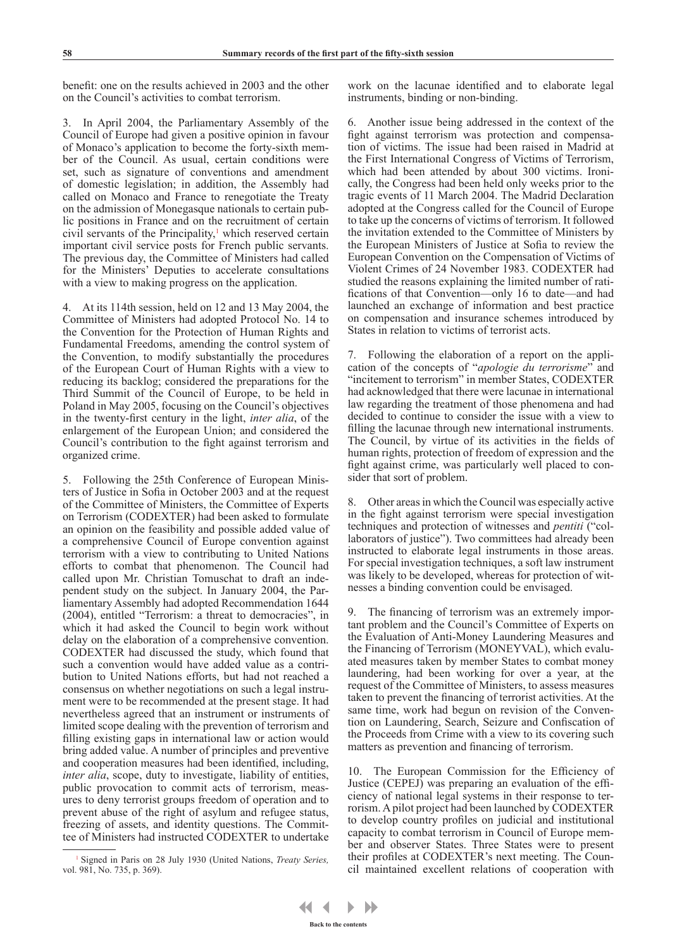benefit: one on the results achieved in 2003 and the other on the Council's activities to combat terrorism.

In April 2004, the Parliamentary Assembly of the Council of Europe had given a positive opinion in favour of Monaco's application to become the forty-sixth member of the Council. As usual, certain conditions were set, such as signature of conventions and amendment of domestic legislation; in addition, the Assembly had called on Monaco and France to renegotiate the Treaty on the admission of Monegasque nationals to certain public positions in France and on the recruitment of certain civil servants of the Principality,<sup>1</sup> which reserved certain important civil service posts for French public servants. The previous day, the Committee of Ministers had called for the Ministers' Deputies to accelerate consultations with a view to making progress on the application.

4. At its 114th session, held on 12 and 13 May 2004, the Committee of Ministers had adopted Protocol No. 14 to the Convention for the Protection of Human Rights and Fundamental Freedoms, amending the control system of the Convention, to modify substantially the procedures of the European Court of Human Rights with a view to reducing its backlog; considered the preparations for the Third Summit of the Council of Europe, to be held in Poland in May 2005, focusing on the Council's objectives in the twenty-first century in the light, *inter alia*, of the enlargement of the European Union; and considered the Council's contribution to the fight against terrorism and organized crime.

5. Following the 25th Conference of European Ministers of Justice in Sofia in October 2003 and at the request of the Committee of Ministers, the Committee of Experts on Terrorism (CODEXTER) had been asked to formulate an opinion on the feasibility and possible added value of a comprehensive Council of Europe convention against terrorism with a view to contributing to United Nations efforts to combat that phenomenon. The Council had called upon Mr. Christian Tomuschat to draft an independent study on the subject. In January 2004, the Parliamentary Assembly had adopted Recommendation 1644 (2004), entitled "Terrorism: a threat to democracies", in which it had asked the Council to begin work without delay on the elaboration of a comprehensive convention. CODEXTER had discussed the study, which found that such a convention would have added value as a contribution to United Nations efforts, but had not reached a consensus on whether negotiations on such a legal instrument were to be recommended at the present stage. It had nevertheless agreed that an instrument or instruments of limited scope dealing with the prevention of terrorism and filling existing gaps in international law or action would bring added value. A number of principles and preventive and cooperation measures had been identified, including, *inter alia*, scope, duty to investigate, liability of entities, public provocation to commit acts of terrorism, measures to deny terrorist groups freedom of operation and to prevent abuse of the right of asylum and refugee status, freezing of assets, and identity questions. The Committee of Ministers had instructed CODEXTER to undertake

work on the lacunae identified and to elaborate legal instruments, binding or non-binding.

6. Another issue being addressed in the context of the fight against terrorism was protection and compensation of victims. The issue had been raised in Madrid at the First International Congress of Victims of Terrorism, which had been attended by about 300 victims. Ironically, the Congress had been held only weeks prior to the tragic events of 11 March 2004. The Madrid Declaration adopted at the Congress called for the Council of Europe to take up the concerns of victims of terrorism. It followed the invitation extended to the Committee of Ministers by the European Ministers of Justice at Sofia to review the European Convention on the Compensation of Victims of Violent Crimes of 24 November 1983. CODEXTER had studied the reasons explaining the limited number of ratifications of that Convention—only 16 to date—and had launched an exchange of information and best practice on compensation and insurance schemes introduced by States in relation to victims of terrorist acts.

7. Following the elaboration of a report on the application of the concepts of "*apologie du terrorisme*" and "incitement to terrorism" in member States, CODEXTER had acknowledged that there were lacunae in international law regarding the treatment of those phenomena and had decided to continue to consider the issue with a view to filling the lacunae through new international instruments. The Council, by virtue of its activities in the fields of human rights, protection of freedom of expression and the fight against crime, was particularly well placed to consider that sort of problem.

8. Other areas in which the Council was especially active in the fight against terrorism were special investigation techniques and protection of witnesses and *pentiti* ("collaborators of justice"). Two committees had already been instructed to elaborate legal instruments in those areas. For special investigation techniques, a soft law instrument was likely to be developed, whereas for protection of witnesses a binding convention could be envisaged.

The financing of terrorism was an extremely important problem and the Council's Committee of Experts on the Evaluation of Anti-Money Laundering Measures and the Financing of Terrorism (MONEYVAL), which evaluated measures taken by member States to combat money laundering, had been working for over a year, at the request of the Committee of Ministers, to assess measures taken to prevent the financing of terrorist activities. At the same time, work had begun on revision of the Convention on Laundering, Search, Seizure and Confiscation of the Proceeds from Crime with a view to its covering such matters as prevention and financing of terrorism.

10. The European Commission for the Efficiency of Justice (CEPEJ) was preparing an evaluation of the efficiency of national legal systems in their response to terrorism. A pilot project had been launched by CODEXTER to develop country profiles on judicial and institutional capacity to combat terrorism in Council of Europe member and observer States. Three States were to present their profiles at CODEXTER's next meeting. The Council maintained excellent relations of cooperation with

<sup>1</sup> Signed in Paris on 28 July 1930 (United Nations, *Treaty Series,*  vol. 981, No. 735, p. 369).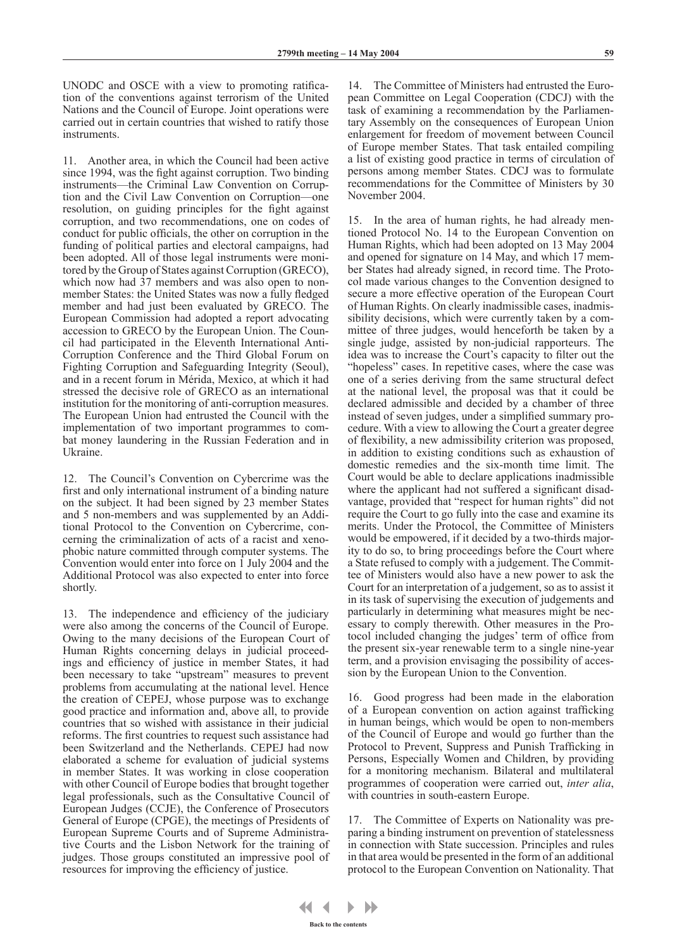UNODC and OSCE with a view to promoting ratification of the conventions against terrorism of the United Nations and the Council of Europe. Joint operations were carried out in certain countries that wished to ratify those instruments.

11. Another area, in which the Council had been active since 1994, was the fight against corruption. Two binding instruments—the Criminal Law Convention on Corruption and the Civil Law Convention on Corruption—one resolution, on guiding principles for the fight against corruption, and two recommendations, one on codes of conduct for public officials, the other on corruption in the funding of political parties and electoral campaigns, had been adopted. All of those legal instruments were monitored by the Group of States against Corruption (GRECO), which now had 37 members and was also open to nonmember States: the United States was now a fully fledged member and had just been evaluated by GRECO. The European Commission had adopted a report advocating accession to GRECO by the European Union. The Council had participated in the Eleventh International Anti-Corruption Conference and the Third Global Forum on Fighting Corruption and Safeguarding Integrity (Seoul), and in a recent forum in Mérida, Mexico, at which it had stressed the decisive role of GRECO as an international institution for the monitoring of anti-corruption measures. The European Union had entrusted the Council with the implementation of two important programmes to combat money laundering in the Russian Federation and in Ukraine.

12. The Council's Convention on Cybercrime was the first and only international instrument of a binding nature on the subject. It had been signed by 23 member States and 5 non-members and was supplemented by an Additional Protocol to the Convention on Cybercrime, concerning the criminalization of acts of a racist and xenophobic nature committed through computer systems. The Convention would enter into force on 1 July 2004 and the Additional Protocol was also expected to enter into force shortly.

13. The independence and efficiency of the judiciary were also among the concerns of the Council of Europe. Owing to the many decisions of the European Court of Human Rights concerning delays in judicial proceedings and efficiency of justice in member States, it had been necessary to take "upstream" measures to prevent problems from accumulating at the national level. Hence the creation of CEPEJ, whose purpose was to exchange good practice and information and, above all, to provide countries that so wished with assistance in their judicial reforms. The first countries to request such assistance had been Switzerland and the Netherlands. CEPEJ had now elaborated a scheme for evaluation of judicial systems in member States. It was working in close cooperation with other Council of Europe bodies that brought together legal professionals, such as the Consultative Council of European Judges (CCJE), the Conference of Prosecutors General of Europe (CPGE), the meetings of Presidents of European Supreme Courts and of Supreme Administrative Courts and the Lisbon Network for the training of judges. Those groups constituted an impressive pool of resources for improving the efficiency of justice.

14. The Committee of Ministers had entrusted the European Committee on Legal Cooperation (CDCJ) with the task of examining a recommendation by the Parliamentary Assembly on the consequences of European Union enlargement for freedom of movement between Council of Europe member States. That task entailed compiling a list of existing good practice in terms of circulation of persons among member States. CDCJ was to formulate recommendations for the Committee of Ministers by 30 November 2004.

15. In the area of human rights, he had already mentioned Protocol No. 14 to the European Convention on Human Rights, which had been adopted on 13 May 2004 and opened for signature on 14 May, and which 17 member States had already signed, in record time. The Protocol made various changes to the Convention designed to secure a more effective operation of the European Court of Human Rights. On clearly inadmissible cases, inadmissibility decisions, which were currently taken by a committee of three judges, would henceforth be taken by a single judge, assisted by non-judicial rapporteurs. The idea was to increase the Court's capacity to filter out the "hopeless" cases. In repetitive cases, where the case was one of a series deriving from the same structural defect at the national level, the proposal was that it could be declared admissible and decided by a chamber of three instead of seven judges, under a simplified summary procedure. With a view to allowing the Court a greater degree of flexibility, a new admissibility criterion was proposed, in addition to existing conditions such as exhaustion of domestic remedies and the six-month time limit. The Court would be able to declare applications inadmissible where the applicant had not suffered a significant disadvantage, provided that "respect for human rights" did not require the Court to go fully into the case and examine its merits. Under the Protocol, the Committee of Ministers would be empowered, if it decided by a two-thirds majority to do so, to bring proceedings before the Court where a State refused to comply with a judgement. The Committee of Ministers would also have a new power to ask the Court for an interpretation of a judgement, so as to assist it in its task of supervising the execution of judgements and particularly in determining what measures might be necessary to comply therewith. Other measures in the Protocol included changing the judges' term of office from the present six-year renewable term to a single nine-year term, and a provision envisaging the possibility of accession by the European Union to the Convention.

16. Good progress had been made in the elaboration of a European convention on action against trafficking in human beings, which would be open to non-members of the Council of Europe and would go further than the Protocol to Prevent, Suppress and Punish Trafficking in Persons, Especially Women and Children, by providing for a monitoring mechanism. Bilateral and multilateral programmes of cooperation were carried out, *inter alia*, with countries in south-eastern Europe.

17. The Committee of Experts on Nationality was preparing a binding instrument on prevention of statelessness in connection with State succession. Principles and rules in that area would be presented in the form of an additional protocol to the European Convention on Nationality. That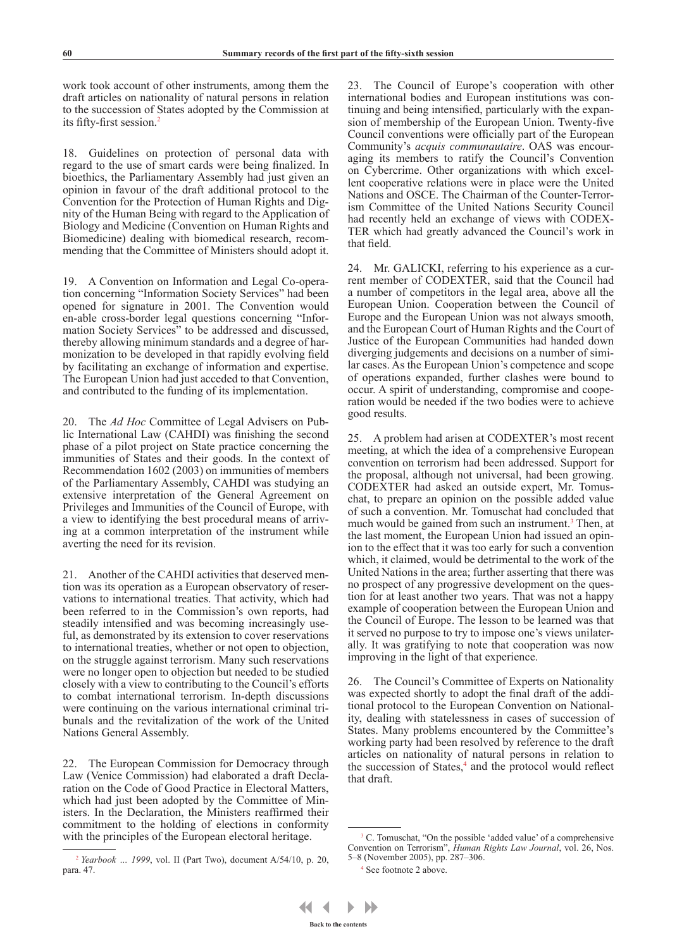work took account of other instruments, among them the draft articles on nationality of natural persons in relation to the succession of States adopted by the Commission at its fifty-first session.2

18. Guidelines on protection of personal data with regard to the use of smart cards were being finalized. In bioethics, the Parliamentary Assembly had just given an opinion in favour of the draft additional protocol to the Convention for the Protection of Human Rights and Dignity of the Human Being with regard to the Application of Biology and Medicine (Convention on Human Rights and Biomedicine) dealing with biomedical research, recommending that the Committee of Ministers should adopt it.

19. A Convention on Information and Legal Co-operation concerning "Information Society Services" had been opened for signature in 2001. The Convention would en-able cross-border legal questions concerning "Information Society Services" to be addressed and discussed, thereby allowing minimum standards and a degree of harmonization to be developed in that rapidly evolving field by facilitating an exchange of information and expertise. The European Union had just acceded to that Convention, and contributed to the funding of its implementation.

20. The *Ad Hoc* Committee of Legal Advisers on Public International Law (CAHDI) was finishing the second phase of a pilot project on State practice concerning the immunities of States and their goods. In the context of Recommendation 1602 (2003) on immunities of members of the Parliamentary Assembly, CAHDI was studying an extensive interpretation of the General Agreement on Privileges and Immunities of the Council of Europe, with a view to identifying the best procedural means of arriving at a common interpretation of the instrument while averting the need for its revision.

21. Another of the CAHDI activities that deserved mention was its operation as a European observatory of reservations to international treaties. That activity, which had been referred to in the Commission's own reports, had steadily intensified and was becoming increasingly useful, as demonstrated by its extension to cover reservations to international treaties, whether or not open to objection, on the struggle against terrorism. Many such reservations were no longer open to objection but needed to be studied closely with a view to contributing to the Council's efforts to combat international terrorism. In-depth discussions were continuing on the various international criminal tribunals and the revitalization of the work of the United Nations General Assembly.

22. The European Commission for Democracy through Law (Venice Commission) had elaborated a draft Declaration on the Code of Good Practice in Electoral Matters, which had just been adopted by the Committee of Ministers. In the Declaration, the Ministers reaffirmed their commitment to the holding of elections in conformity with the principles of the European electoral heritage.

23. The Council of Europe's cooperation with other international bodies and European institutions was continuing and being intensified, particularly with the expansion of membership of the European Union. Twenty-five Council conventions were officially part of the European Community's *acquis communautaire*. OAS was encouraging its members to ratify the Council's Convention on Cybercrime. Other organizations with which excellent cooperative relations were in place were the United Nations and OSCE. The Chairman of the Counter-Terrorism Committee of the United Nations Security Council had recently held an exchange of views with CODEX-TER which had greatly advanced the Council's work in that field.

24. Mr. GALICKI, referring to his experience as a current member of CODEXTER, said that the Council had a number of competitors in the legal area, above all the European Union. Cooperation between the Council of Europe and the European Union was not always smooth, and the European Court of Human Rights and the Court of Justice of the European Communities had handed down diverging judgements and decisions on a number of similar cases. As the European Union's competence and scope of operations expanded, further clashes were bound to occur. A spirit of understanding, compromise and cooperation would be needed if the two bodies were to achieve good results.

25. A problem had arisen at CODEXTER's most recent meeting, at which the idea of a comprehensive European convention on terrorism had been addressed. Support for the proposal, although not universal, had been growing. CODEXTER had asked an outside expert, Mr. Tomuschat, to prepare an opinion on the possible added value of such a convention. Mr. Tomuschat had concluded that much would be gained from such an instrument.<sup>3</sup> Then, at the last moment, the European Union had issued an opinion to the effect that it was too early for such a convention which, it claimed, would be detrimental to the work of the United Nations in the area; further asserting that there was no prospect of any progressive development on the question for at least another two years. That was not a happy example of cooperation between the European Union and the Council of Europe. The lesson to be learned was that it served no purpose to try to impose one's views unilaterally. It was gratifying to note that cooperation was now improving in the light of that experience.

26. The Council's Committee of Experts on Nationality was expected shortly to adopt the final draft of the additional protocol to the European Convention on Nationality, dealing with statelessness in cases of succession of States. Many problems encountered by the Committee's working party had been resolved by reference to the draft articles on nationality of natural persons in relation to the succession of States,<sup>4</sup> and the protocol would reflect that draft.

<sup>2</sup> *Yearbook … 1999*, vol. II (Part Two), document A/54/10, p. 20, para. 47.

<sup>&</sup>lt;sup>3</sup> C. Tomuschat, "On the possible 'added value' of a comprehensive Convention on Terrorism", *Human Rights Law Journal*, vol. 26, Nos. 5–8 (November 2005), pp. 287–306.

<sup>4</sup> See footnote 2 above.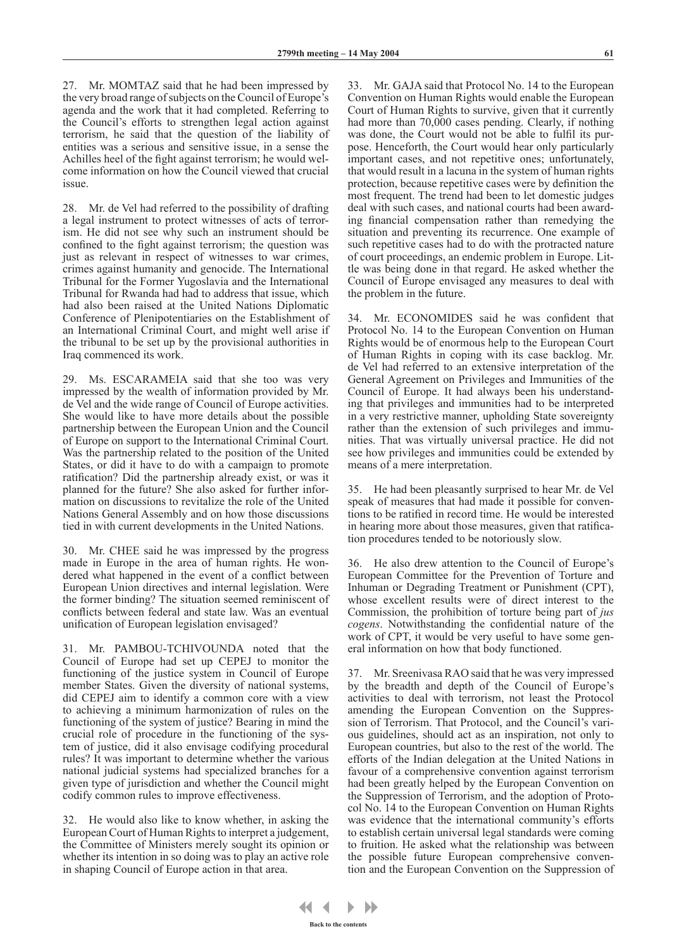27. Mr. MOMTAZ said that he had been impressed by the very broad range of subjects on the Council of Europe's agenda and the work that it had completed. Referring to the Council's efforts to strengthen legal action against terrorism, he said that the question of the liability of entities was a serious and sensitive issue, in a sense the Achilles heel of the fight against terrorism; he would welcome information on how the Council viewed that crucial issue.

28. Mr. de Vel had referred to the possibility of drafting a legal instrument to protect witnesses of acts of terrorism. He did not see why such an instrument should be confined to the fight against terrorism; the question was just as relevant in respect of witnesses to war crimes, crimes against humanity and genocide. The International Tribunal for the Former Yugoslavia and the International Tribunal for Rwanda had had to address that issue, which had also been raised at the United Nations Diplomatic Conference of Plenipotentiaries on the Establishment of an International Criminal Court, and might well arise if the tribunal to be set up by the provisional authorities in Iraq commenced its work.

29. Ms. ESCARAMEIA said that she too was very impressed by the wealth of information provided by Mr. de Vel and the wide range of Council of Europe activities. She would like to have more details about the possible partnership between the European Union and the Council of Europe on support to the International Criminal Court. Was the partnership related to the position of the United States, or did it have to do with a campaign to promote ratification? Did the partnership already exist, or was it planned for the future? She also asked for further information on discussions to revitalize the role of the United Nations General Assembly and on how those discussions tied in with current developments in the United Nations.

30. Mr. CHEE said he was impressed by the progress made in Europe in the area of human rights. He wondered what happened in the event of a conflict between European Union directives and internal legislation. Were the former binding? The situation seemed reminiscent of conflicts between federal and state law. Was an eventual unification of European legislation envisaged?

31. Mr. PAMBOU-TCHIVOUNDA noted that the Council of Europe had set up CEPEJ to monitor the functioning of the justice system in Council of Europe member States. Given the diversity of national systems, did CEPEJ aim to identify a common core with a view to achieving a minimum harmonization of rules on the functioning of the system of justice? Bearing in mind the crucial role of procedure in the functioning of the system of justice, did it also envisage codifying procedural rules? It was important to determine whether the various national judicial systems had specialized branches for a given type of jurisdiction and whether the Council might codify common rules to improve effectiveness.

32. He would also like to know whether, in asking the European Court of Human Rights to interpret a judgement, the Committee of Ministers merely sought its opinion or whether its intention in so doing was to play an active role in shaping Council of Europe action in that area.

33. Mr. GAJA said that Protocol No. 14 to the European Convention on Human Rights would enable the European Court of Human Rights to survive, given that it currently had more than 70,000 cases pending. Clearly, if nothing was done, the Court would not be able to fulfil its purpose. Henceforth, the Court would hear only particularly important cases, and not repetitive ones; unfortunately, that would result in a lacuna in the system of human rights protection, because repetitive cases were by definition the most frequent. The trend had been to let domestic judges deal with such cases, and national courts had been awarding financial compensation rather than remedying the situation and preventing its recurrence. One example of such repetitive cases had to do with the protracted nature of court proceedings, an endemic problem in Europe. Little was being done in that regard. He asked whether the Council of Europe envisaged any measures to deal with the problem in the future.

34. Mr. ECONOMIDES said he was confident that Protocol No. 14 to the European Convention on Human Rights would be of enormous help to the European Court of Human Rights in coping with its case backlog. Mr. de Vel had referred to an extensive interpretation of the General Agreement on Privileges and Immunities of the Council of Europe. It had always been his understanding that privileges and immunities had to be interpreted in a very restrictive manner, upholding State sovereignty rather than the extension of such privileges and immunities. That was virtually universal practice. He did not see how privileges and immunities could be extended by means of a mere interpretation.

35. He had been pleasantly surprised to hear Mr. de Vel speak of measures that had made it possible for conventions to be ratified in record time. He would be interested in hearing more about those measures, given that ratification procedures tended to be notoriously slow.

36. He also drew attention to the Council of Europe's European Committee for the Prevention of Torture and Inhuman or Degrading Treatment or Punishment (CPT), whose excellent results were of direct interest to the Commission, the prohibition of torture being part of *jus cogens*. Notwithstanding the confidential nature of the work of CPT, it would be very useful to have some general information on how that body functioned.

37. Mr. Sreenivasa RAO said that he was very impressed by the breadth and depth of the Council of Europe's activities to deal with terrorism, not least the Protocol amending the European Convention on the Suppression of Terrorism. That Protocol, and the Council's various guidelines, should act as an inspiration, not only to European countries, but also to the rest of the world. The efforts of the Indian delegation at the United Nations in favour of a comprehensive convention against terrorism had been greatly helped by the European Convention on the Suppression of Terrorism, and the adoption of Protocol No. 14 to the European Convention on Human Rights was evidence that the international community's efforts to establish certain universal legal standards were coming to fruition. He asked what the relationship was between the possible future European comprehensive convention and the European Convention on the Suppression of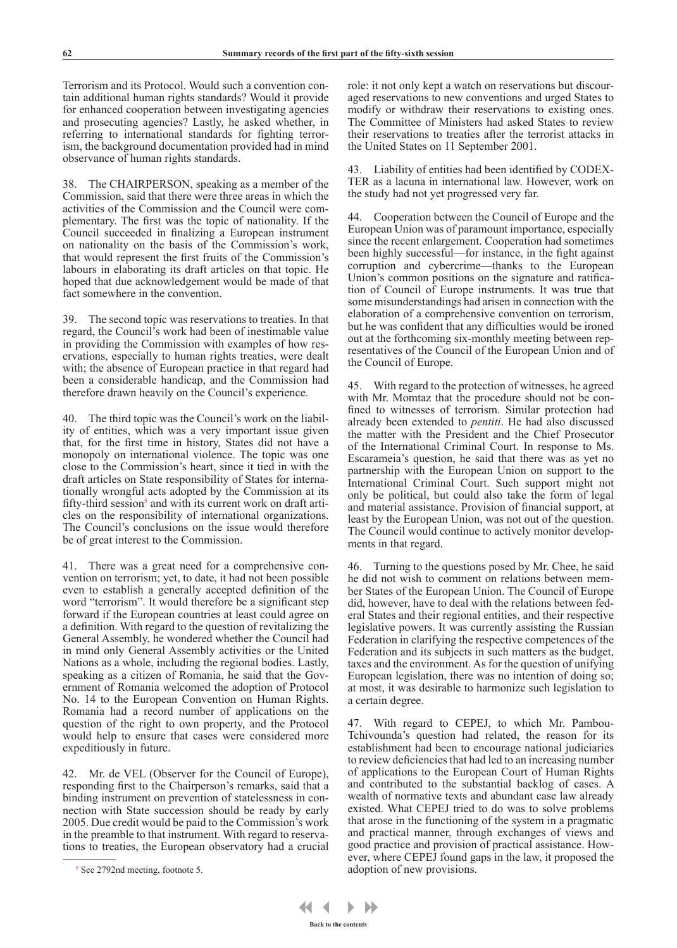Terrorism and its Protocol. Would such a convention contain additional human rights standards? Would it provide for enhanced cooperation between investigating agencies and prosecuting agencies? Lastly, he asked whether, in referring to international standards for fighting terrorism, the background documentation provided had in mind observance of human rights standards.

38. The CHAIRPERSON, speaking as a member of the Commission, said that there were three areas in which the activities of the Commission and the Council were complementary. The first was the topic of nationality. If the Council succeeded in finalizing a European instrument on nationality on the basis of the Commission's work, that would represent the first fruits of the Commission's labours in elaborating its draft articles on that topic. He hoped that due acknowledgement would be made of that fact somewhere in the convention.

39. The second topic was reservations to treaties. In that regard, the Council's work had been of inestimable value in providing the Commission with examples of how reservations, especially to human rights treaties, were dealt with; the absence of European practice in that regard had been a considerable handicap, and the Commission had therefore drawn heavily on the Council's experience.

40. The third topic was the Council's work on the liability of entities, which was a very important issue given that, for the first time in history, States did not have a monopoly on international violence. The topic was one close to the Commission's heart, since it tied in with the draft articles on State responsibility of States for internationally wrongful acts adopted by the Commission at its fifty-third session<sup>5</sup> and with its current work on draft articles on the responsibility of international organizations. The Council's conclusions on the issue would therefore be of great interest to the Commission.

41. There was a great need for a comprehensive convention on terrorism; yet, to date, it had not been possible even to establish a generally accepted definition of the word "terrorism". It would therefore be a significant step forward if the European countries at least could agree on a definition. With regard to the question of revitalizing the General Assembly, he wondered whether the Council had in mind only General Assembly activities or the United Nations as a whole, including the regional bodies. Lastly, speaking as a citizen of Romania, he said that the Government of Romania welcomed the adoption of Protocol No. 14 to the European Convention on Human Rights. Romania had a record number of applications on the question of the right to own property, and the Protocol would help to ensure that cases were considered more expeditiously in future.

42. Mr. de VEL (Observer for the Council of Europe), responding first to the Chairperson's remarks, said that a binding instrument on prevention of statelessness in connection with State succession should be ready by early 2005. Due credit would be paid to the Commission's work in the preamble to that instrument. With regard to reservations to treaties, the European observatory had a crucial

role: it not only kept a watch on reservations but discouraged reservations to new conventions and urged States to modify or withdraw their reservations to existing ones. The Committee of Ministers had asked States to review their reservations to treaties after the terrorist attacks in the United States on 11 September 2001.

43. Liability of entities had been identified by CODEX-TER as a lacuna in international law. However, work on the study had not yet progressed very far.

44. Cooperation between the Council of Europe and the European Union was of paramount importance, especially since the recent enlargement. Cooperation had sometimes been highly successful—for instance, in the fight against corruption and cybercrime—thanks to the European Union's common positions on the signature and ratification of Council of Europe instruments. It was true that some misunderstandings had arisen in connection with the elaboration of a comprehensive convention on terrorism, but he was confident that any difficulties would be ironed out at the forthcoming six-monthly meeting between representatives of the Council of the European Union and of the Council of Europe.

45. With regard to the protection of witnesses, he agreed with Mr. Momtaz that the procedure should not be confined to witnesses of terrorism. Similar protection had already been extended to *pentiti*. He had also discussed the matter with the President and the Chief Prosecutor of the International Criminal Court. In response to Ms. Escarameia's question, he said that there was as yet no partnership with the European Union on support to the International Criminal Court. Such support might not only be political, but could also take the form of legal and material assistance. Provision of financial support, at least by the European Union, was not out of the question. The Council would continue to actively monitor developments in that regard.

46. Turning to the questions posed by Mr. Chee, he said he did not wish to comment on relations between member States of the European Union. The Council of Europe did, however, have to deal with the relations between federal States and their regional entities, and their respective legislative powers. It was currently assisting the Russian Federation in clarifying the respective competences of the Federation and its subjects in such matters as the budget, taxes and the environment. As for the question of unifying European legislation, there was no intention of doing so; at most, it was desirable to harmonize such legislation to a certain degree.

47. With regard to CEPEJ, to which Mr. Pambou-Tchivounda's question had related, the reason for its establishment had been to encourage national judiciaries to review deficiencies that had led to an increasing number of applications to the European Court of Human Rights and contributed to the substantial backlog of cases. A wealth of normative texts and abundant case law already existed. What CEPEJ tried to do was to solve problems that arose in the functioning of the system in a pragmatic and practical manner, through exchanges of views and good practice and provision of practical assistance. However, where CEPEJ found gaps in the law, it proposed the adoption of new provisions.

<sup>5</sup> See 2792nd meeting, footnote 5.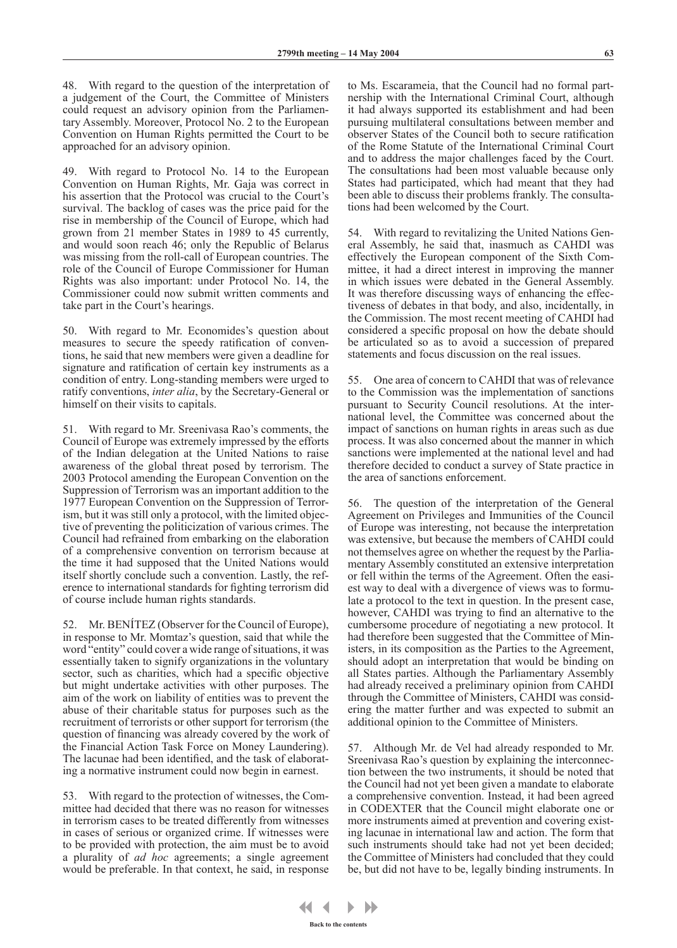48. With regard to the question of the interpretation of a judgement of the Court, the Committee of Ministers could request an advisory opinion from the Parliamentary Assembly. Moreover, Protocol No. 2 to the European Convention on Human Rights permitted the Court to be approached for an advisory opinion.

49. With regard to Protocol No. 14 to the European Convention on Human Rights, Mr. Gaja was correct in his assertion that the Protocol was crucial to the Court's survival. The backlog of cases was the price paid for the rise in membership of the Council of Europe, which had grown from 21 member States in 1989 to 45 currently, and would soon reach 46; only the Republic of Belarus was missing from the roll-call of European countries. The role of the Council of Europe Commissioner for Human Rights was also important: under Protocol No. 14, the Commissioner could now submit written comments and take part in the Court's hearings.

50. With regard to Mr. Economides's question about measures to secure the speedy ratification of conventions, he said that new members were given a deadline for signature and ratification of certain key instruments as a condition of entry. Long-standing members were urged to ratify conventions, *inter alia*, by the Secretary-General or himself on their visits to capitals.

51. With regard to Mr. Sreenivasa Rao's comments, the Council of Europe was extremely impressed by the efforts of the Indian delegation at the United Nations to raise awareness of the global threat posed by terrorism. The 2003 Protocol amending the European Convention on the Suppression of Terrorism was an important addition to the 1977 European Convention on the Suppression of Terrorism, but it was still only a protocol, with the limited objective of preventing the politicization of various crimes. The Council had refrained from embarking on the elaboration of a comprehensive convention on terrorism because at the time it had supposed that the United Nations would itself shortly conclude such a convention. Lastly, the reference to international standards for fighting terrorism did of course include human rights standards.

52. Mr. BENÍTEZ (Observer for the Council of Europe), in response to Mr. Momtaz's question, said that while the word "entity" could cover a wide range of situations, it was essentially taken to signify organizations in the voluntary sector, such as charities, which had a specific objective but might undertake activities with other purposes. The aim of the work on liability of entities was to prevent the abuse of their charitable status for purposes such as the recruitment of terrorists or other support for terrorism (the question of financing was already covered by the work of the Financial Action Task Force on Money Laundering). The lacunae had been identified, and the task of elaborating a normative instrument could now begin in earnest.

53. With regard to the protection of witnesses, the Committee had decided that there was no reason for witnesses in terrorism cases to be treated differently from witnesses in cases of serious or organized crime. If witnesses were to be provided with protection, the aim must be to avoid a plurality of *ad hoc* agreements; a single agreement would be preferable. In that context, he said, in response to Ms. Escarameia, that the Council had no formal partnership with the International Criminal Court, although it had always supported its establishment and had been pursuing multilateral consultations between member and observer States of the Council both to secure ratification of the Rome Statute of the International Criminal Court and to address the major challenges faced by the Court. The consultations had been most valuable because only States had participated, which had meant that they had been able to discuss their problems frankly. The consultations had been welcomed by the Court.

With regard to revitalizing the United Nations General Assembly, he said that, inasmuch as CAHDI was effectively the European component of the Sixth Committee, it had a direct interest in improving the manner in which issues were debated in the General Assembly. It was therefore discussing ways of enhancing the effectiveness of debates in that body, and also, incidentally, in the Commission. The most recent meeting of CAHDI had considered a specific proposal on how the debate should be articulated so as to avoid a succession of prepared statements and focus discussion on the real issues.

55. One area of concern to CAHDI that was of relevance to the Commission was the implementation of sanctions pursuant to Security Council resolutions. At the international level, the Committee was concerned about the impact of sanctions on human rights in areas such as due process. It was also concerned about the manner in which sanctions were implemented at the national level and had therefore decided to conduct a survey of State practice in the area of sanctions enforcement.

56. The question of the interpretation of the General Agreement on Privileges and Immunities of the Council of Europe was interesting, not because the interpretation was extensive, but because the members of CAHDI could not themselves agree on whether the request by the Parliamentary Assembly constituted an extensive interpretation or fell within the terms of the Agreement. Often the easiest way to deal with a divergence of views was to formulate a protocol to the text in question. In the present case, however, CAHDI was trying to find an alternative to the cumbersome procedure of negotiating a new protocol. It had therefore been suggested that the Committee of Ministers, in its composition as the Parties to the Agreement, should adopt an interpretation that would be binding on all States parties. Although the Parliamentary Assembly had already received a preliminary opinion from CAHDI through the Committee of Ministers, CAHDI was considering the matter further and was expected to submit an additional opinion to the Committee of Ministers.

57. Although Mr. de Vel had already responded to Mr. Sreenivasa Rao's question by explaining the interconnection between the two instruments, it should be noted that the Council had not yet been given a mandate to elaborate a comprehensive convention. Instead, it had been agreed in CODEXTER that the Council might elaborate one or more instruments aimed at prevention and covering existing lacunae in international law and action. The form that such instruments should take had not yet been decided; the Committee of Ministers had concluded that they could be, but did not have to be, legally binding instruments. In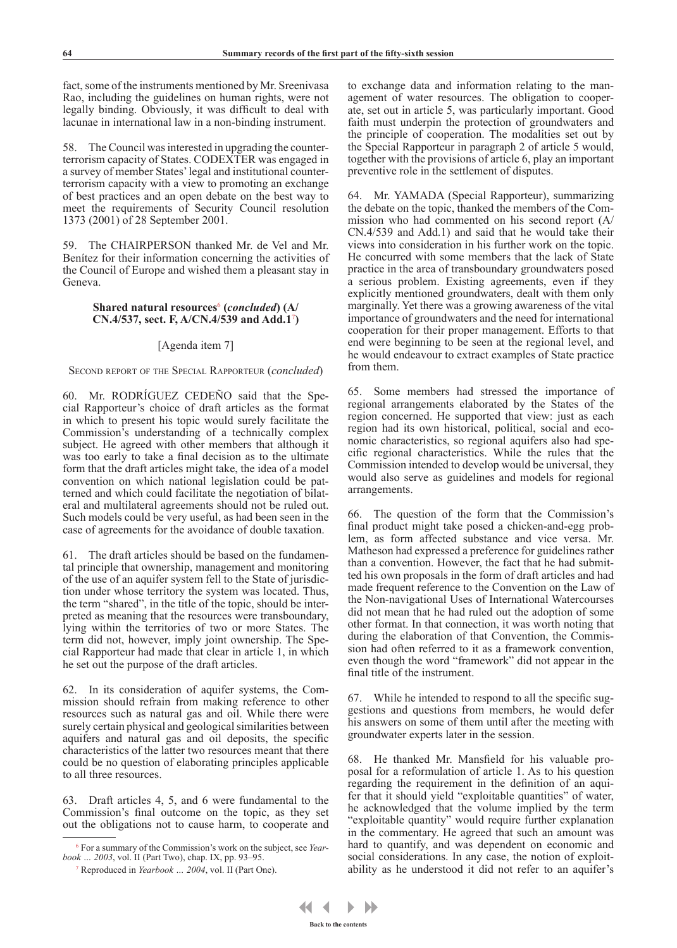fact, some of the instruments mentioned by Mr. Sreenivasa Rao, including the guidelines on human rights, were not legally binding. Obviously, it was difficult to deal with lacunae in international law in a non-binding instrument.

58. The Council was interested in upgrading the counterterrorism capacity of States. CODEXTER was engaged in a survey of member States' legal and institutional counterterrorism capacity with a view to promoting an exchange of best practices and an open debate on the best way to meet the requirements of Security Council resolution 1373 (2001) of 28 September 2001.

59. The CHAIRPERSON thanked Mr. de Vel and Mr. Benítez for their information concerning the activities of the Council of Europe and wished them a pleasant stay in Geneva.

## **Shared natural resources**<sup>6</sup>  **(***concluded***) (A/ CN.4/537, sect. F, A/CN.4/539 and Add.1**<sup>7</sup> **)**

### [Agenda item 7]

#### Second report of the Special Rapporteur (*concluded*)

60. Mr. RODRÍGUEZ CEDEÑO said that the Special Rapporteur's choice of draft articles as the format in which to present his topic would surely facilitate the Commission's understanding of a technically complex subject. He agreed with other members that although it was too early to take a final decision as to the ultimate form that the draft articles might take, the idea of a model convention on which national legislation could be patterned and which could facilitate the negotiation of bilateral and multilateral agreements should not be ruled out. Such models could be very useful, as had been seen in the case of agreements for the avoidance of double taxation.

61. The draft articles should be based on the fundamental principle that ownership, management and monitoring of the use of an aquifer system fell to the State of jurisdiction under whose territory the system was located. Thus, the term "shared", in the title of the topic, should be interpreted as meaning that the resources were transboundary, lying within the territories of two or more States. The term did not, however, imply joint ownership. The Special Rapporteur had made that clear in article 1, in which he set out the purpose of the draft articles.

62. In its consideration of aquifer systems, the Commission should refrain from making reference to other resources such as natural gas and oil. While there were surely certain physical and geological similarities between aquifers and natural gas and oil deposits, the specific characteristics of the latter two resources meant that there could be no question of elaborating principles applicable to all three resources.

63. Draft articles 4, 5, and 6 were fundamental to the Commission's final outcome on the topic, as they set out the obligations not to cause harm, to cooperate and to exchange data and information relating to the management of water resources. The obligation to cooperate, set out in article 5, was particularly important. Good faith must underpin the protection of groundwaters and the principle of cooperation. The modalities set out by the Special Rapporteur in paragraph 2 of article 5 would, together with the provisions of article 6, play an important preventive role in the settlement of disputes.

64. Mr. YAMADA (Special Rapporteur), summarizing the debate on the topic, thanked the members of the Commission who had commented on his second report (A/ CN.4/539 and Add.1) and said that he would take their views into consideration in his further work on the topic. He concurred with some members that the lack of State practice in the area of transboundary groundwaters posed a serious problem. Existing agreements, even if they explicitly mentioned groundwaters, dealt with them only marginally. Yet there was a growing awareness of the vital importance of groundwaters and the need for international cooperation for their proper management. Efforts to that end were beginning to be seen at the regional level, and he would endeavour to extract examples of State practice from them.

65. Some members had stressed the importance of regional arrangements elaborated by the States of the region concerned. He supported that view: just as each region had its own historical, political, social and economic characteristics, so regional aquifers also had specific regional characteristics. While the rules that the Commission intended to develop would be universal, they would also serve as guidelines and models for regional arrangements.

66. The question of the form that the Commission's final product might take posed a chicken-and-egg problem, as form affected substance and vice versa. Mr. Matheson had expressed a preference for guidelines rather than a convention. However, the fact that he had submitted his own proposals in the form of draft articles and had made frequent reference to the Convention on the Law of the Non-navigational Uses of International Watercourses did not mean that he had ruled out the adoption of some other format. In that connection, it was worth noting that during the elaboration of that Convention, the Commission had often referred to it as a framework convention, even though the word "framework" did not appear in the final title of the instrument.

67. While he intended to respond to all the specific suggestions and questions from members, he would defer his answers on some of them until after the meeting with groundwater experts later in the session.

68. He thanked Mr. Mansfield for his valuable proposal for a reformulation of article 1. As to his question regarding the requirement in the definition of an aquifer that it should yield "exploitable quantities" of water, he acknowledged that the volume implied by the term "exploitable quantity" would require further explanation in the commentary. He agreed that such an amount was hard to quantify, and was dependent on economic and social considerations. In any case, the notion of exploitability as he understood it did not refer to an aquifer's

<sup>6</sup> For a summary of the Commission's work on the subject, see *Yearbook … 2003*, vol. II (Part Two), chap. IX, pp. 93–95.

<sup>7</sup> Reproduced in *Yearbook … 2004*, vol. II (Part One).